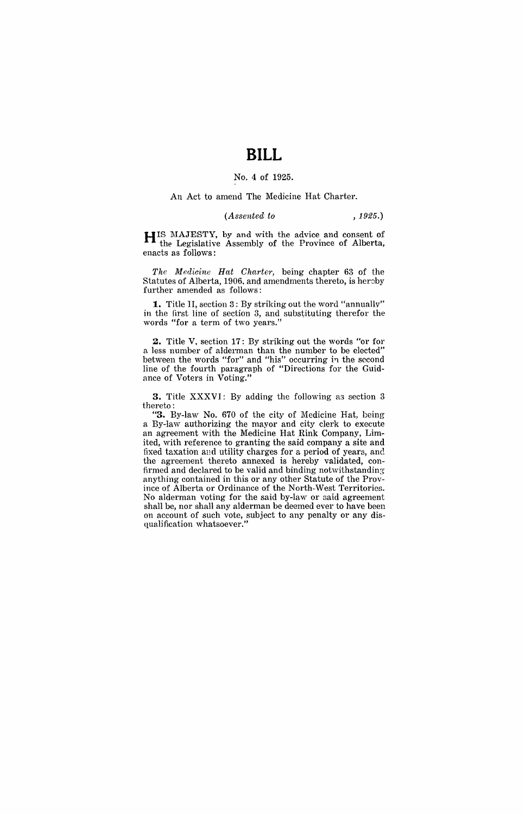# **BILL**

### No.4 of 1925.

### An Act to amend The Medicine Hat Charter.

#### *(Assented to* , 1925.)

H IS MAJESTY, by and with the advice and consent of the Legislative Assembly of the Province of Alberta, enacts as follows:

*The Medicine Hat Charter,* being chapter 63 of the Statutes of Alberta, 1906, and amendments thereto, is hereby further amended as follows:

**1.** Title II, section 3: By striking out the word "annually" in the first line of section 3, and substituting therefor the words "for a term of two years."

**2.** Title V. section **17:** By striking out the words "or for a less number of alderman than the number to be elected" between the words "for" and "his" occurring in the second line of the fourth paragraph of "Directions for the Guidance of Voters in Voting."

**3.** Title XXXVI: By adding the following as section 3 thereto:

**"3.** By-law No. 670 of the city of Medicine Hat, being a By-law authorizing the mayor and city clerk to execute an agreement with the Medicine Hat Rink Company, Limited, with reference to granting the said company a site and fixed taxation and utility charges for a period of years, and the agreement thereto annexed is hereby validated, confirmed and declared to be valid and binding notwithstanding anything contained in this or any other Statute of the Province of Alberta or Ordinance of the North-West Territories. No alderman voting for the said by-law or said agreement shall be, nor shall any alderman be deemed ever to have been on account of such vote, subject to any penalty or any disqualification whatsoever."